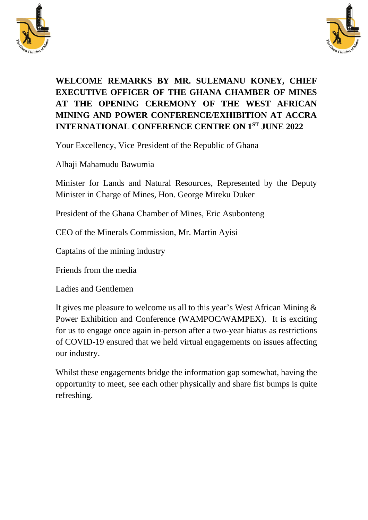



## **WELCOME REMARKS BY MR. SULEMANU KONEY, CHIEF EXECUTIVE OFFICER OF THE GHANA CHAMBER OF MINES AT THE OPENING CEREMONY OF THE WEST AFRICAN MINING AND POWER CONFERENCE/EXHIBITION AT ACCRA INTERNATIONAL CONFERENCE CENTRE ON 1ST JUNE 2022**

Your Excellency, Vice President of the Republic of Ghana

Alhaji Mahamudu Bawumia

Minister for Lands and Natural Resources, Represented by the Deputy Minister in Charge of Mines, Hon. George Mireku Duker

President of the Ghana Chamber of Mines, Eric Asubonteng

CEO of the Minerals Commission, Mr. Martin Ayisi

Captains of the mining industry

Friends from the media

Ladies and Gentlemen

It gives me pleasure to welcome us all to this year's West African Mining & Power Exhibition and Conference (WAMPOC/WAMPEX). It is exciting for us to engage once again in-person after a two-year hiatus as restrictions of COVID-19 ensured that we held virtual engagements on issues affecting our industry.

Whilst these engagements bridge the information gap somewhat, having the opportunity to meet, see each other physically and share fist bumps is quite refreshing.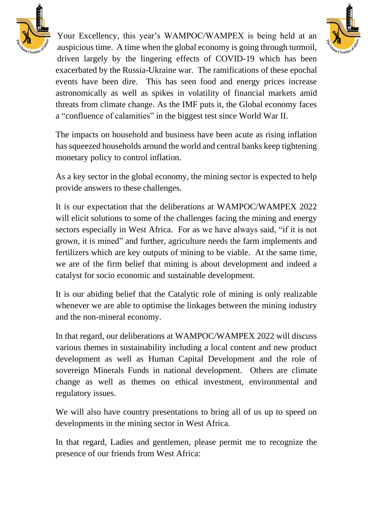



Your Excellency, this year's WAMPOC/WAMPEX is being held at an auspicious time. A time when the global economy is going through turmoil, driven largely by the lingering effects of COVID-19 which has been exacerbated by the Russia-Ukraine war. The ramifications of these epochal events have been dire. This has seen food and energy prices increase astronomically as well as spikes in volatility of financial markets amid threats from climate change. As the IMF puts it, the Global economy faces a "confluence of calamities" in the biggest test since World War II.

The impacts on household and business have been acute as rising inflation has squeezed households around the world and central banks keep tightening monetary policy to control inflation.

As a key sector in the global economy, the mining sector is expected to help provide answers to these challenges.

It is our expectation that the deliberations at WAMPOC/WAMPEX 2022 will elicit solutions to some of the challenges facing the mining and energy sectors especially in West Africa. For as we have always said, "if it is not grown, it is mined" and further, agriculture needs the farm implements and fertilizers which are key outputs of mining to be viable. At the same time, we are of the firm belief that mining is about development and indeed a catalyst for socio economic and sustainable development.

It is our abiding belief that the Catalytic role of mining is only realizable whenever we are able to optimise the linkages between the mining industry and the non-mineral economy.

In that regard, our deliberations at WAMPOC/WAMPEX 2022 will discuss various themes in sustainability including a local content and new product development as well as Human Capital Development and the role of sovereign Minerals Funds in national development. Others are climate change as well as themes on ethical investment, environmental and regulatory issues.

We will also have country presentations to bring all of us up to speed on developments in the mining sector in West Africa.

In that regard, Ladies and gentlemen, please permit me to recognize the presence of our friends from West Africa: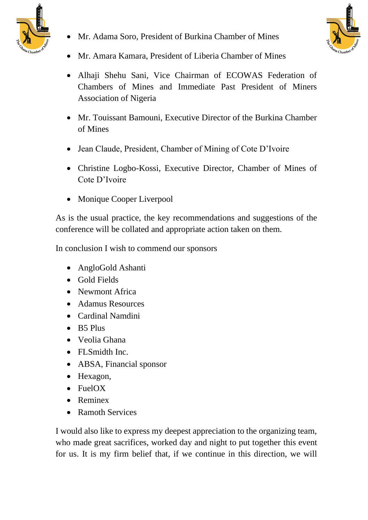

• Mr. Adama Soro, President of Burkina Chamber of Mines



- Mr. Amara Kamara, President of Liberia Chamber of Mines
- Alhaji Shehu Sani, Vice Chairman of ECOWAS Federation of Chambers of Mines and Immediate Past President of Miners Association of Nigeria
- Mr. Touissant Bamouni, Executive Director of the Burkina Chamber of Mines
- Jean Claude, President, Chamber of Mining of Cote D'Ivoire
- Christine Logbo-Kossi, Executive Director, Chamber of Mines of Cote D'Ivoire
- Monique Cooper Liverpool

As is the usual practice, the key recommendations and suggestions of the conference will be collated and appropriate action taken on them.

In conclusion I wish to commend our sponsors

- AngloGold Ashanti
- Gold Fields
- Newmont Africa
- Adamus Resources
- Cardinal Namdini
- B5 Plus
- Veolia Ghana
- FL Smidth Inc.
- ABSA, Financial sponsor
- Hexagon,
- FuelOX
- Reminex
- Ramoth Services

I would also like to express my deepest appreciation to the organizing team, who made great sacrifices, worked day and night to put together this event for us. It is my firm belief that, if we continue in this direction, we will